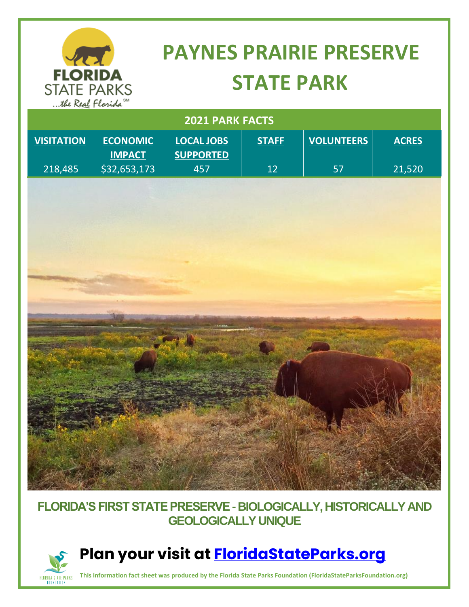

# **PAYNES PRAIRIE PRESERVE STATE PARK**

| 2021 PARK FACTS   |                                  |                                |              |                   |              |
|-------------------|----------------------------------|--------------------------------|--------------|-------------------|--------------|
| <b>VISITATION</b> | <b>ECONOMIC</b><br><b>IMPACT</b> | LOCAL JOBS<br><b>SUPPORTED</b> | <b>STAFF</b> | <b>VOLUNTEERS</b> | <b>ACRES</b> |
| 218,485           | \$32,653,173                     | 457                            | 12           | 57                | 21,520       |
|                   |                                  |                                |              |                   |              |
|                   |                                  |                                |              |                   |              |
|                   |                                  |                                |              |                   |              |
|                   |                                  |                                |              |                   |              |
|                   |                                  |                                |              |                   |              |
|                   |                                  |                                |              |                   |              |
|                   |                                  |                                |              |                   |              |
|                   |                                  |                                |              |                   |              |
|                   |                                  |                                |              |                   |              |
|                   |                                  |                                |              |                   |              |
|                   |                                  |                                |              |                   |              |
|                   |                                  |                                |              |                   |              |
|                   |                                  |                                |              |                   |              |
|                   |                                  |                                |              |                   |              |
|                   |                                  |                                |              |                   |              |
|                   |                                  |                                |              |                   |              |

#### **FLORIDA'S FIRST STATE PRESERVE -BIOLOGICALLY, HISTORICALLY AND GEOLOGICALLY UNIQUE**



### **Plan your visit at [FloridaStateParks.org](http://www.floridastateparks.org/)**

**This information fact sheet was produced by the Florida State Parks Foundation (FloridaStateParksFoundation.org)**